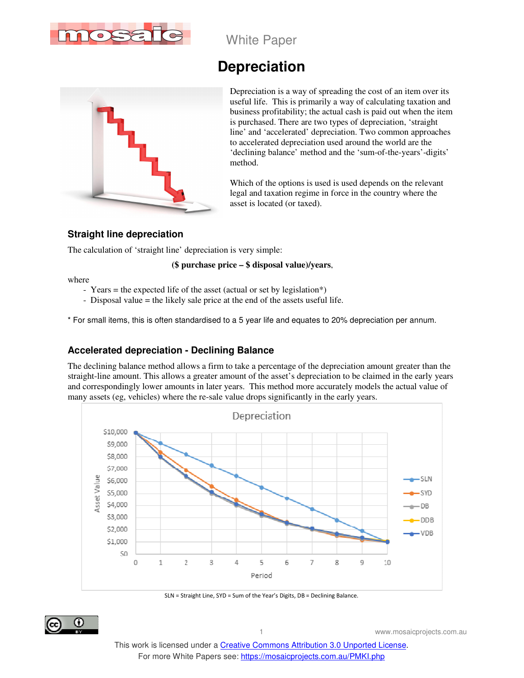

White Paper

# **Depreciation**



Depreciation is a way of spreading the cost of an item over its useful life. This is primarily a way of calculating taxation and business profitability; the actual cash is paid out when the item is purchased. There are two types of depreciation, 'straight line' and 'accelerated' depreciation. Two common approaches to accelerated depreciation used around the world are the 'declining balance' method and the 'sum-of-the-years'-digits' method.

Which of the options is used is used depends on the relevant legal and taxation regime in force in the country where the asset is located (or taxed).

### **Straight line depreciation**

The calculation of 'straight line' depreciation is very simple:

#### **(\$ purchase price – \$ disposal value)/years**,

where

- Years = the expected life of the asset (actual or set by legislation\*)
- Disposal value = the likely sale price at the end of the assets useful life.

\* For small items, this is often standardised to a 5 year life and equates to 20% depreciation per annum.

# **Accelerated depreciation - Declining Balance**

The declining balance method allows a firm to take a percentage of the depreciation amount greater than the straight-line amount. This allows a greater amount of the asset's depreciation to be claimed in the early years and correspondingly lower amounts in later years. This method more accurately models the actual value of many assets (eg, vehicles) where the re-sale value drops significantly in the early years.



SLN = Straight Line, SYD = Sum of the Year's Digits, DB = Declining Balance.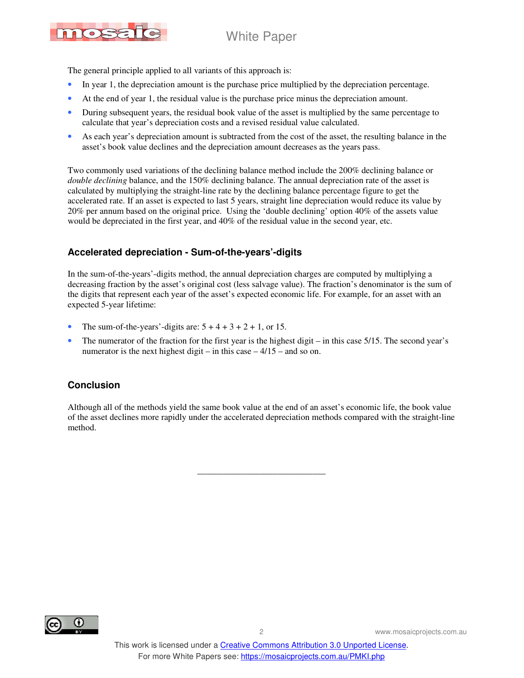

The general principle applied to all variants of this approach is:

- In year 1, the depreciation amount is the purchase price multiplied by the depreciation percentage.
- At the end of year 1, the residual value is the purchase price minus the depreciation amount.
- During subsequent years, the residual book value of the asset is multiplied by the same percentage to calculate that year's depreciation costs and a revised residual value calculated.
- As each year's depreciation amount is subtracted from the cost of the asset, the resulting balance in the asset's book value declines and the depreciation amount decreases as the years pass.

Two commonly used variations of the declining balance method include the 200% declining balance or *double declining* balance, and the 150% declining balance. The annual depreciation rate of the asset is calculated by multiplying the straight-line rate by the declining balance percentage figure to get the accelerated rate. If an asset is expected to last 5 years, straight line depreciation would reduce its value by 20% per annum based on the original price. Using the 'double declining' option 40% of the assets value would be depreciated in the first year, and 40% of the residual value in the second year, etc.

# **Accelerated depreciation - Sum-of-the-years'-digits**

In the sum-of-the-years'-digits method, the annual depreciation charges are computed by multiplying a decreasing fraction by the asset's original cost (less salvage value). The fraction's denominator is the sum of the digits that represent each year of the asset's expected economic life. For example, for an asset with an expected 5-year lifetime:

- The sum-of-the-years'-digits are:  $5 + 4 + 3 + 2 + 1$ , or 15.
- The numerator of the fraction for the first year is the highest digit in this case  $5/15$ . The second year's numerator is the next highest digit – in this case  $-4/15$  – and so on.

#### **Conclusion**

Although all of the methods yield the same book value at the end of an asset's economic life, the book value of the asset declines more rapidly under the accelerated depreciation methods compared with the straight-line method.

\_\_\_\_\_\_\_\_\_\_\_\_\_\_\_\_\_\_\_\_\_\_\_\_\_\_\_\_\_